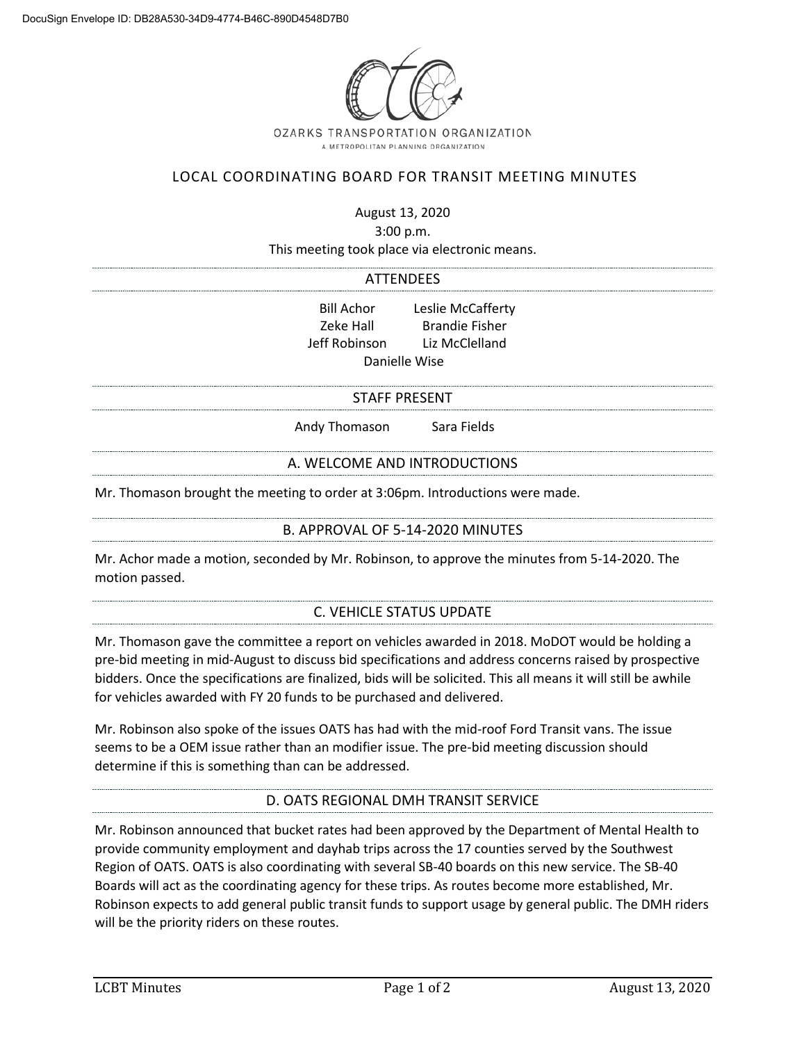

# LOCAL COORDINATING BOARD FOR TRANSIT MEETING MINUTES

August 13, 2020

3:00 p.m.

This meeting took place via electronic means.

#### ATTENDEES

Bill Achor Leslie McCafferty Zeke Hall Brandie Fisher Jeff Robinson Liz McClelland Danielle Wise

#### STAFF PRESENT

Andy Thomason Sara Fields

### A. WELCOME AND INTRODUCTIONS

Mr. Thomason brought the meeting to order at 3:06pm. Introductions were made.

#### B. APPROVAL OF 5-14-2020 MINUTES

Mr. Achor made a motion, seconded by Mr. Robinson, to approve the minutes from 5-14-2020. The motion passed.

### C. VEHICLE STATUS UPDATE

Mr. Thomason gave the committee a report on vehicles awarded in 2018. MoDOT would be holding a pre-bid meeting in mid-August to discuss bid specifications and address concerns raised by prospective bidders. Once the specifications are finalized, bids will be solicited. This all means it will still be awhile for vehicles awarded with FY 20 funds to be purchased and delivered.

Mr. Robinson also spoke of the issues OATS has had with the mid-roof Ford Transit vans. The issue seems to be a OEM issue rather than an modifier issue. The pre-bid meeting discussion should determine if this is something than can be addressed.

### D. OATS REGIONAL DMH TRANSIT SERVICE

Mr. Robinson announced that bucket rates had been approved by the Department of Mental Health to provide community employment and dayhab trips across the 17 counties served by the Southwest Region of OATS. OATS is also coordinating with several SB-40 boards on this new service. The SB-40 Boards will act as the coordinating agency for these trips. As routes become more established, Mr. Robinson expects to add general public transit funds to support usage by general public. The DMH riders will be the priority riders on these routes.